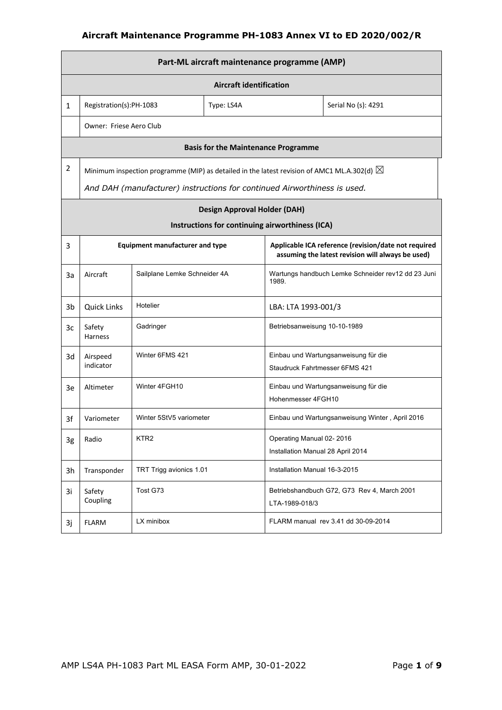|                | Part-ML aircraft maintenance programme (AMP) |                                                                                                       |                                                                        |                                                               |                                                                                                           |  |  |
|----------------|----------------------------------------------|-------------------------------------------------------------------------------------------------------|------------------------------------------------------------------------|---------------------------------------------------------------|-----------------------------------------------------------------------------------------------------------|--|--|
|                | <b>Aircraft identification</b>               |                                                                                                       |                                                                        |                                                               |                                                                                                           |  |  |
| $\mathbf{1}$   | Registration(s):PH-1083                      |                                                                                                       | Type: LS4A                                                             |                                                               | Serial No (s): 4291                                                                                       |  |  |
|                | Owner: Friese Aero Club                      |                                                                                                       |                                                                        |                                                               |                                                                                                           |  |  |
|                |                                              |                                                                                                       | <b>Basis for the Maintenance Programme</b>                             |                                                               |                                                                                                           |  |  |
| $\overline{2}$ |                                              | Minimum inspection programme (MIP) as detailed in the latest revision of AMC1 ML.A.302(d) $\boxtimes$ |                                                                        |                                                               |                                                                                                           |  |  |
|                |                                              | And DAH (manufacturer) instructions for continued Airworthiness is used.                              |                                                                        |                                                               |                                                                                                           |  |  |
|                |                                              |                                                                                                       | <b>Design Approval Holder (DAH)</b>                                    |                                                               |                                                                                                           |  |  |
|                |                                              |                                                                                                       | Instructions for continuing airworthiness (ICA)                        |                                                               |                                                                                                           |  |  |
| 3              |                                              | <b>Equipment manufacturer and type</b>                                                                |                                                                        |                                                               | Applicable ICA reference (revision/date not required<br>assuming the latest revision will always be used) |  |  |
| За             | Aircraft                                     | Sailplane Lemke Schneider 4A                                                                          |                                                                        | Wartungs handbuch Lemke Schneider rev12 dd 23 Juni<br>1989.   |                                                                                                           |  |  |
| 3b             | <b>Quick Links</b>                           | Hotelier                                                                                              |                                                                        | LBA: LTA 1993-001/3                                           |                                                                                                           |  |  |
| 3c             | Safety<br>Harness                            | Gadringer                                                                                             |                                                                        | Betriebsanweisung 10-10-1989                                  |                                                                                                           |  |  |
| 3d             | Airspeed<br>indicator                        | Winter 6FMS 421                                                                                       | Einbau und Wartungsanweisung für die<br>Staudruck Fahrtmesser 6FMS 421 |                                                               |                                                                                                           |  |  |
| 3e             | Altimeter                                    | Winter 4FGH10                                                                                         |                                                                        | Hohenmesser 4FGH10                                            | Einbau und Wartungsanweisung für die                                                                      |  |  |
| 3f             | Variometer                                   | Winter 5StV5 variometer                                                                               |                                                                        |                                                               | Einbau und Wartungsanweisung Winter, April 2016                                                           |  |  |
| 3g             | Radio                                        | KTR <sub>2</sub>                                                                                      |                                                                        | Operating Manual 02-2016<br>Installation Manual 28 April 2014 |                                                                                                           |  |  |
| 3h             | Transponder                                  | TRT Trigg avionics 1.01                                                                               |                                                                        | Installation Manual 16-3-2015                                 |                                                                                                           |  |  |
| 3i             | Safety<br>Coupling                           | Tost G73                                                                                              |                                                                        | LTA-1989-018/3                                                | Betriebshandbuch G72, G73 Rev 4, March 2001                                                               |  |  |
| 3j             | <b>FLARM</b>                                 | LX minibox                                                                                            |                                                                        |                                                               | FLARM manual rev 3.41 dd 30-09-2014                                                                       |  |  |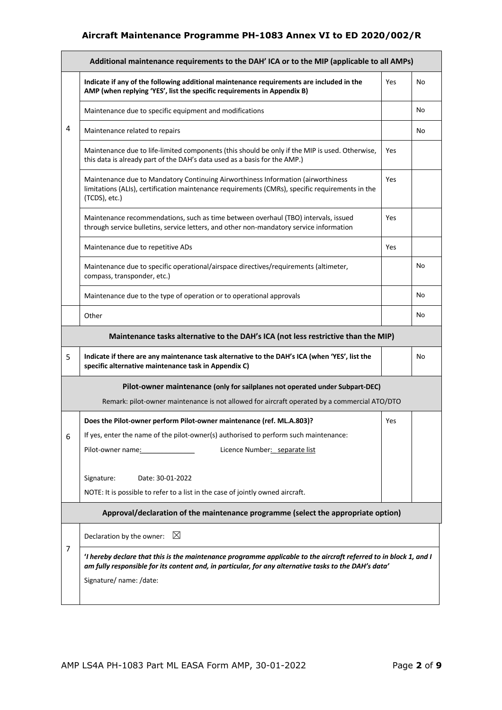|                | Additional maintenance requirements to the DAH' ICA or to the MIP (applicable to all AMPs)                                                                                                                                                            |            |    |  |  |
|----------------|-------------------------------------------------------------------------------------------------------------------------------------------------------------------------------------------------------------------------------------------------------|------------|----|--|--|
|                | Indicate if any of the following additional maintenance requirements are included in the<br>AMP (when replying 'YES', list the specific requirements in Appendix B)                                                                                   | Yes        | No |  |  |
|                | Maintenance due to specific equipment and modifications                                                                                                                                                                                               |            | No |  |  |
| 4              | Maintenance related to repairs                                                                                                                                                                                                                        |            | No |  |  |
|                | Maintenance due to life-limited components (this should be only if the MIP is used. Otherwise,<br>this data is already part of the DAH's data used as a basis for the AMP.)                                                                           | <b>Yes</b> |    |  |  |
|                | Maintenance due to Mandatory Continuing Airworthiness Information (airworthiness<br>limitations (ALIs), certification maintenance requirements (CMRs), specific requirements in the<br>(TCDS), etc.)                                                  | Yes        |    |  |  |
|                | Maintenance recommendations, such as time between overhaul (TBO) intervals, issued<br>through service bulletins, service letters, and other non-mandatory service information                                                                         | Yes        |    |  |  |
|                | Maintenance due to repetitive ADs                                                                                                                                                                                                                     | Yes        |    |  |  |
|                | Maintenance due to specific operational/airspace directives/requirements (altimeter,<br>compass, transponder, etc.)                                                                                                                                   |            | No |  |  |
|                | Maintenance due to the type of operation or to operational approvals                                                                                                                                                                                  |            | No |  |  |
|                | Other                                                                                                                                                                                                                                                 |            | No |  |  |
|                | Maintenance tasks alternative to the DAH's ICA (not less restrictive than the MIP)                                                                                                                                                                    |            |    |  |  |
| 5              | Indicate if there are any maintenance task alternative to the DAH's ICA (when 'YES', list the<br>specific alternative maintenance task in Appendix C)                                                                                                 |            | No |  |  |
|                | Pilot-owner maintenance (only for sailplanes not operated under Subpart-DEC)<br>Remark: pilot-owner maintenance is not allowed for aircraft operated by a commercial ATO/DTO                                                                          |            |    |  |  |
| 6              | Does the Pilot-owner perform Pilot-owner maintenance (ref. ML.A.803)?<br>If yes, enter the name of the pilot-owner(s) authorised to perform such maintenance:<br>Pilot-owner name: 1990<br>Licence Number: separate list                              | <b>Yes</b> |    |  |  |
|                | Signature:<br>Date: 30-01-2022<br>NOTE: It is possible to refer to a list in the case of jointly owned aircraft.                                                                                                                                      |            |    |  |  |
|                | Approval/declaration of the maintenance programme (select the appropriate option)                                                                                                                                                                     |            |    |  |  |
|                |                                                                                                                                                                                                                                                       |            |    |  |  |
| $\overline{7}$ | $\boxtimes$<br>Declaration by the owner:                                                                                                                                                                                                              |            |    |  |  |
|                | 'I hereby declare that this is the maintenance programme applicable to the aircraft referred to in block 1, and I<br>am fully responsible for its content and, in particular, for any alternative tasks to the DAH's data'<br>Signature/ name: /date: |            |    |  |  |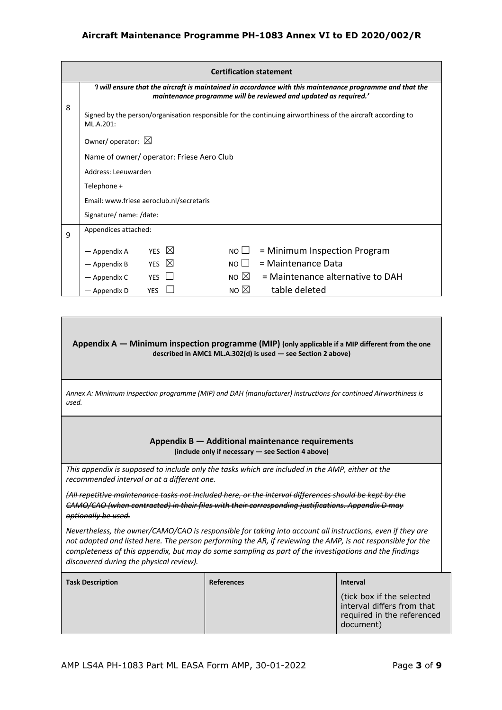|   | <b>Certification statement</b>                                                                                                                                               |                                          |                |                                  |  |  |  |  |
|---|------------------------------------------------------------------------------------------------------------------------------------------------------------------------------|------------------------------------------|----------------|----------------------------------|--|--|--|--|
|   | I will ensure that the aircraft is maintained in accordance with this maintenance programme and that the<br>maintenance programme will be reviewed and updated as required.' |                                          |                |                                  |  |  |  |  |
| 8 | Signed by the person/organisation responsible for the continuing airworthiness of the aircraft according to<br>ML.A.201:                                                     |                                          |                |                                  |  |  |  |  |
|   | Owner/operator: $\boxtimes$                                                                                                                                                  |                                          |                |                                  |  |  |  |  |
|   |                                                                                                                                                                              | Name of owner/operator: Friese Aero Club |                |                                  |  |  |  |  |
|   |                                                                                                                                                                              | Address: Leeuwarden                      |                |                                  |  |  |  |  |
|   | Telephone +                                                                                                                                                                  |                                          |                |                                  |  |  |  |  |
|   | Email: www.friese aeroclub.nl/secretaris                                                                                                                                     |                                          |                |                                  |  |  |  |  |
|   | Signature/ name: /date:                                                                                                                                                      |                                          |                |                                  |  |  |  |  |
| 9 | Appendices attached:                                                                                                                                                         |                                          |                |                                  |  |  |  |  |
|   | — Appendix A                                                                                                                                                                 | YES $\boxtimes$                          | $NO \Box$      | = Minimum Inspection Program     |  |  |  |  |
|   | - Appendix B                                                                                                                                                                 | $\boxtimes$<br><b>YES</b>                | NOLI           | = Maintenance Data               |  |  |  |  |
|   | - Appendix C                                                                                                                                                                 | <b>YES</b>                               | NO $\boxtimes$ | = Maintenance alternative to DAH |  |  |  |  |
|   | - Appendix D                                                                                                                                                                 | <b>YES</b>                               | NO $\boxtimes$ | table deleted                    |  |  |  |  |

#### **Appendix A — Minimum inspection programme (MIP) (only applicable if a MIP different from the one described in AMC1 ML.A.302(d) is used — see Section 2 above)**

*Annex A: Minimum inspection programme (MIP) and DAH (manufacturer) instructions for continued Airworthiness is used.*

#### **Appendix B — Additional maintenance requirements (include only if necessary — see Section 4 above)**

*This appendix is supposed to include only the tasks which are included in the AMP, either at the recommended interval or at a different one.* 

*(All repetitive maintenance tasks not included here, or the interval differences should be kept by the CAMO/CAO (when contracted) in their files with their corresponding justifications. Appendix D may optionally be used.* 

*Nevertheless, the owner/CAMO/CAO is responsible for taking into account all instructions, even if they are not adopted and listed here. The person performing the AR, if reviewing the AMP, is not responsible for the completeness of this appendix, but may do some sampling as part of the investigations and the findings discovered during the physical review).*

| <b>Task Description</b> | <b>References</b> | <b>Interval</b>                                                                                    |
|-------------------------|-------------------|----------------------------------------------------------------------------------------------------|
|                         |                   | (tick box if the selected<br>interval differs from that<br>required in the referenced<br>document) |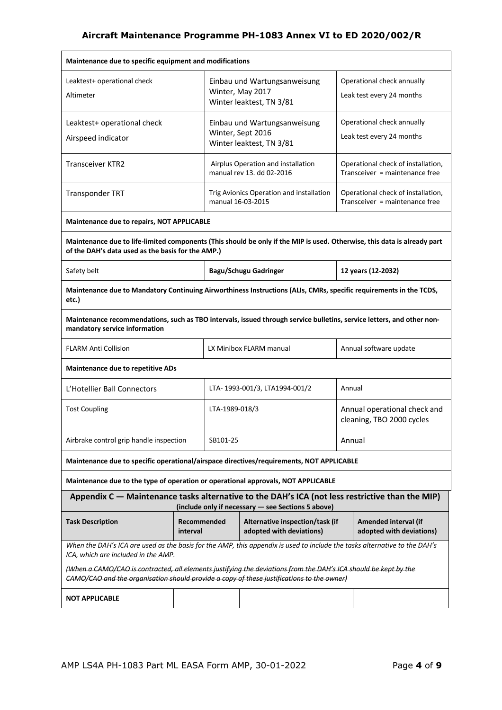| Maintenance due to specific equipment and modifications                                                                                                                                                      |                         |                   |                                                                               |        |                                                                      |  |
|--------------------------------------------------------------------------------------------------------------------------------------------------------------------------------------------------------------|-------------------------|-------------------|-------------------------------------------------------------------------------|--------|----------------------------------------------------------------------|--|
| Leaktest+ operational check<br>Altimeter                                                                                                                                                                     |                         |                   | Einbau und Wartungsanweisung<br>Winter, May 2017<br>Winter leaktest, TN 3/81  |        | Operational check annually<br>Leak test every 24 months              |  |
| Leaktest+ operational check<br>Airspeed indicator                                                                                                                                                            |                         |                   | Einbau und Wartungsanweisung<br>Winter, Sept 2016<br>Winter leaktest, TN 3/81 |        | Operational check annually<br>Leak test every 24 months              |  |
| <b>Transceiver KTR2</b>                                                                                                                                                                                      |                         |                   | Airplus Operation and installation<br>manual rev 13. dd 02-2016               |        | Operational check of installation,<br>Transceiver = maintenance free |  |
| <b>Transponder TRT</b>                                                                                                                                                                                       |                         | manual 16-03-2015 | Trig Avionics Operation and installation                                      |        | Operational check of installation,<br>Transceiver = maintenance free |  |
| Maintenance due to repairs, NOT APPLICABLE                                                                                                                                                                   |                         |                   |                                                                               |        |                                                                      |  |
| Maintenance due to life-limited components (This should be only if the MIP is used. Otherwise, this data is already part<br>of the DAH's data used as the basis for the AMP.)                                |                         |                   |                                                                               |        |                                                                      |  |
| Safety belt                                                                                                                                                                                                  |                         |                   | <b>Bagu/Schugu Gadringer</b>                                                  |        | 12 years (12-2032)                                                   |  |
| Maintenance due to Mandatory Continuing Airworthiness Instructions (ALIs, CMRs, specific requirements in the TCDS,<br>etc.)                                                                                  |                         |                   |                                                                               |        |                                                                      |  |
| Maintenance recommendations, such as TBO intervals, issued through service bulletins, service letters, and other non-<br>mandatory service information                                                       |                         |                   |                                                                               |        |                                                                      |  |
| <b>FLARM Anti Collision</b>                                                                                                                                                                                  |                         |                   | LX Minibox FLARM manual                                                       |        | Annual software update                                               |  |
| Maintenance due to repetitive ADs                                                                                                                                                                            |                         |                   |                                                                               |        |                                                                      |  |
| L'Hotellier Ball Connectors                                                                                                                                                                                  |                         |                   | LTA-1993-001/3, LTA1994-001/2                                                 | Annual |                                                                      |  |
| <b>Tost Coupling</b>                                                                                                                                                                                         |                         | LTA-1989-018/3    |                                                                               |        | Annual operational check and<br>cleaning, TBO 2000 cycles            |  |
| Airbrake control grip handle inspection                                                                                                                                                                      |                         | SB101-25          |                                                                               | Annual |                                                                      |  |
| Maintenance due to specific operational/airspace directives/requirements, NOT APPLICABLE                                                                                                                     |                         |                   |                                                                               |        |                                                                      |  |
| Maintenance due to the type of operation or operational approvals, NOT APPLICABLE                                                                                                                            |                         |                   |                                                                               |        |                                                                      |  |
| Appendix $C$ $-$ Maintenance tasks alternative to the DAH's ICA (not less restrictive than the MIP)                                                                                                          |                         |                   | (include only if necessary - see Sections 5 above)                            |        |                                                                      |  |
| <b>Task Description</b>                                                                                                                                                                                      | Recommended<br>interval |                   | Alternative inspection/task (if<br>adopted with deviations)                   |        | Amended interval (if<br>adopted with deviations)                     |  |
| When the DAH's ICA are used as the basis for the AMP, this appendix is used to include the tasks alternative to the DAH's<br>ICA, which are included in the AMP.                                             |                         |                   |                                                                               |        |                                                                      |  |
| (When a CAMO/CAO is contracted, all elements justifying the deviations from the DAH's ICA should be kept by the<br>CAMO/CAO and the organisation should provide a copy of these justifications to the owner) |                         |                   |                                                                               |        |                                                                      |  |
| <b>NOT APPLICABLE</b>                                                                                                                                                                                        |                         |                   |                                                                               |        |                                                                      |  |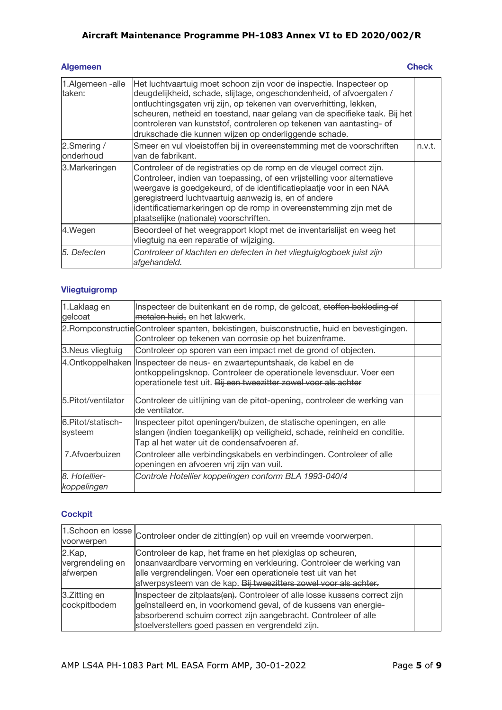#### **Algemeen** Check

| 1.Algemeen -alle<br>taken: | Het luchtvaartuig moet schoon zijn voor de inspectie. Inspecteer op<br>deugdelijkheid, schade, slijtage, ongeschondenheid, of afvoergaten /<br>ontluchtingsgaten vrij zijn, op tekenen van oververhitting, lekken,<br>scheuren, netheid en toestand, naar gelang van de specifieke taak. Bij het<br>controleren van kunststof, controleren op tekenen van aantasting- of<br>drukschade die kunnen wijzen op onderliggende schade. |        |
|----------------------------|-----------------------------------------------------------------------------------------------------------------------------------------------------------------------------------------------------------------------------------------------------------------------------------------------------------------------------------------------------------------------------------------------------------------------------------|--------|
| 2.Smering /<br>onderhoud   | Smeer en vul vloeistoffen bij in overeenstemming met de voorschriften<br>van de fabrikant.                                                                                                                                                                                                                                                                                                                                        | n.v.t. |
| 3. Markeringen             | Controleer of de registraties op de romp en de vleugel correct zijn.<br>Controleer, indien van toepassing, of een vrijstelling voor alternatieve<br>weergave is goedgekeurd, of de identificatieplaatje voor in een NAA<br>geregistreerd luchtvaartuig aanwezig is, en of andere<br>identificatiemarkeringen op de romp in overeenstemming zijn met de<br>plaatselijke (nationale) voorschriften.                                 |        |
| 4.Wegen                    | Beoordeel of het weegrapport klopt met de inventarislijst en weeg het<br>vliegtuig na een reparatie of wijziging.                                                                                                                                                                                                                                                                                                                 |        |
| 5. Defecten                | Controleer of klachten en defecten in het vliegtuiglogboek juist zijn<br>afgehandeld.                                                                                                                                                                                                                                                                                                                                             |        |

# **Vliegtuigromp**

| 1.Laklaag en<br>gelcoat      | Inspecteer de buitenkant en de romp, de gelcoat, stoffen bekleding of<br>metalen huid, en het lakwerk.                                                                                                             |  |
|------------------------------|--------------------------------------------------------------------------------------------------------------------------------------------------------------------------------------------------------------------|--|
|                              | 2. Rompconstructie Controleer spanten, bekistingen, buisconstructie, huid en bevestigingen.<br>Controleer op tekenen van corrosie op het buizenframe.                                                              |  |
| 3. Neus vliegtuig            | Controleer op sporen van een impact met de grond of objecten.                                                                                                                                                      |  |
|                              | 4. Ontkoppelhaken Inspecteer de neus- en zwaartepuntshaak, de kabel en de<br>ontkoppelingsknop. Controleer de operationele levensduur. Voer een<br>operationele test uit. Bij een tweezitter zowel voor als achter |  |
| 5. Pitot/ventilator          | Controleer de uitlijning van de pitot-opening, controleer de werking van<br>de ventilator.                                                                                                                         |  |
| 6.Pitot/statisch-<br>systeem | Inspecteer pitot openingen/buizen, de statische openingen, en alle<br>slangen (indien toegankelijk) op veiligheid, schade, reinheid en conditie.<br>Tap al het water uit de condensafvoeren af.                    |  |
| 7. Afvoerbuizen              | Controleer alle verbindingskabels en verbindingen. Controleer of alle<br>openingen en afvoeren vrij zijn van vuil.                                                                                                 |  |
| 8. Hotellier-<br>koppelingen | Controle Hotellier koppelingen conform BLA 1993-040/4                                                                                                                                                              |  |

## **Cockpit**

|                                        | 1.Schoon en losse Controleer onder de zitting(en) op vuil en vreemde voorwerpen.                                                                                                                                                                                        |  |
|----------------------------------------|-------------------------------------------------------------------------------------------------------------------------------------------------------------------------------------------------------------------------------------------------------------------------|--|
| 2.Kap,<br>vergrendeling en<br>afwerpen | Controleer de kap, het frame en het plexiglas op scheuren,<br>onaanvaardbare vervorming en verkleuring. Controleer de werking van<br>alle vergrendelingen. Voer een operationele test uit van het<br>afwerpsysteem van de kap. Bij tweezitters zowel voor als achter.   |  |
| 3.Zitting en<br>cockpitbodem           | Inspecteer de zitplaats(en). Controleer of alle losse kussens correct zijn<br>geïnstalleerd en, in voorkomend geval, of de kussens van energie-<br>absorberend schuim correct zijn aangebracht. Controleer of alle<br>stoelverstellers goed passen en vergrendeld zijn. |  |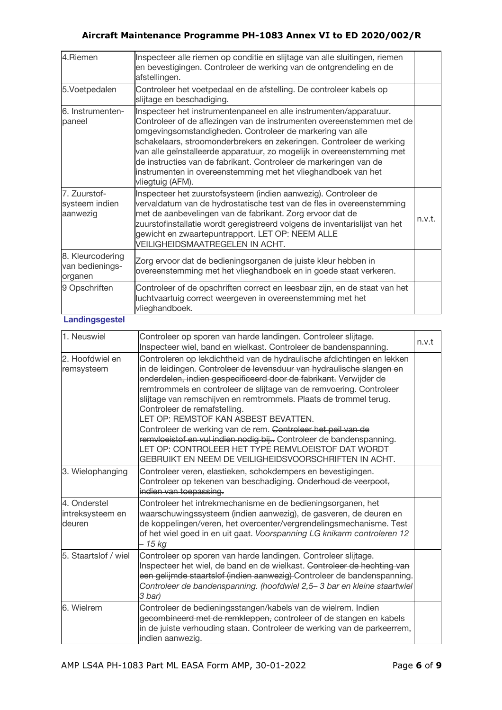| 4.Riemen                                       | Inspecteer alle riemen op conditie en slijtage van alle sluitingen, riemen<br>en bevestigingen. Controleer de werking van de ontgrendeling en de<br>afstellingen.                                                                                                                                                                                                                                                                                                                                                    |        |
|------------------------------------------------|----------------------------------------------------------------------------------------------------------------------------------------------------------------------------------------------------------------------------------------------------------------------------------------------------------------------------------------------------------------------------------------------------------------------------------------------------------------------------------------------------------------------|--------|
| 5.Voetpedalen                                  | Controleer het voetpedaal en de afstelling. De controleer kabels op<br>slijtage en beschadiging.                                                                                                                                                                                                                                                                                                                                                                                                                     |        |
| 6. Instrumenten-<br>paneel                     | Inspecteer het instrumentenpaneel en alle instrumenten/apparatuur.<br>Controleer of de aflezingen van de instrumenten overeenstemmen met de<br>omgevingsomstandigheden. Controleer de markering van alle<br>schakelaars, stroomonderbrekers en zekeringen. Controleer de werking<br>van alle geïnstalleerde apparatuur, zo mogelijk in overeenstemming met<br>de instructies van de fabrikant. Controleer de markeringen van de<br>instrumenten in overeenstemming met het vlieghandboek van het<br>vliegtuig (AFM). |        |
| 7. Zuurstof-<br>systeem indien<br>aanwezig     | Inspecteer het zuurstofsysteem (indien aanwezig). Controleer de<br>vervaldatum van de hydrostatische test van de fles in overeenstemming<br>met de aanbevelingen van de fabrikant. Zorg ervoor dat de<br>zuurstofinstallatie wordt geregistreerd volgens de inventarislijst van het<br>gewicht en zwaartepuntrapport. LET OP: NEEM ALLE<br>VEILIGHEIDSMAATREGELEN IN ACHT.                                                                                                                                           | n.v.t. |
| 8. Kleurcodering<br>van bedienings-<br>organen | Zorg ervoor dat de bedieningsorganen de juiste kleur hebben in<br>overeenstemming met het vlieghandboek en in goede staat verkeren.                                                                                                                                                                                                                                                                                                                                                                                  |        |
| 9 Opschriften                                  | Controleer of de opschriften correct en leesbaar zijn, en de staat van het<br>luchtvaartuig correct weergeven in overeenstemming met het<br>vlieghandboek.                                                                                                                                                                                                                                                                                                                                                           |        |

## **Landingsgestel**

| 1. Neuswiel                                | Controleer op sporen van harde landingen. Controleer slijtage.<br>Inspecteer wiel, band en wielkast. Controleer de bandenspanning.                                                                                                                                                                                                                                                                                                                                                                                                                                                                                                                                                            | n.v.t |
|--------------------------------------------|-----------------------------------------------------------------------------------------------------------------------------------------------------------------------------------------------------------------------------------------------------------------------------------------------------------------------------------------------------------------------------------------------------------------------------------------------------------------------------------------------------------------------------------------------------------------------------------------------------------------------------------------------------------------------------------------------|-------|
| 2. Hoofdwiel en<br>remsysteem              | Controleren op lekdichtheid van de hydraulische afdichtingen en lekken<br>in de leidingen. Controleer de levensduur van hydraulische slangen en<br>onderdelen, indien gespecificeerd door de fabrikant. Verwijder de<br>remtrommels en controleer de slijtage van de remvoering. Controleer<br>slijtage van remschijven en remtrommels. Plaats de trommel terug.<br>Controleer de remafstelling.<br>LET OP: REMSTOF KAN ASBEST BEVATTEN.<br>Controleer de werking van de rem. Controleer het peil van de<br>remvloeistof en vul indien nodig bij Controleer de bandenspanning.<br>LET OP: CONTROLEER HET TYPE REMVLOEISTOF DAT WORDT<br>GEBRUIKT EN NEEM DE VEILIGHEIDSVOORSCHRIFTEN IN ACHT. |       |
| 3. Wielophanging                           | Controleer veren, elastieken, schokdempers en bevestigingen.<br>Controleer op tekenen van beschadiging. Onderhoud de veerpoot,<br>indien van toepassing.                                                                                                                                                                                                                                                                                                                                                                                                                                                                                                                                      |       |
| 4. Onderstel<br>intreksysteem en<br>deuren | Controleer het intrekmechanisme en de bedieningsorganen, het<br>waarschuwingssysteem (indien aanwezig), de gasveren, de deuren en<br>de koppelingen/veren, het overcenter/vergrendelingsmechanisme. Test<br>of het wiel goed in en uit gaat. Voorspanning LG knikarm controleren 12<br>- 15 kg                                                                                                                                                                                                                                                                                                                                                                                                |       |
| 5. Staartslof / wiel                       | Controleer op sporen van harde landingen. Controleer slijtage.<br>Inspecteer het wiel, de band en de wielkast. Controleer de hechting van<br>een gelijmde staartslof (indien aanwezig) Controleer de bandenspanning.<br>Controleer de bandenspanning. (hoofdwiel 2,5-3 bar en kleine staartwiel<br>3 bar)                                                                                                                                                                                                                                                                                                                                                                                     |       |
| 6. Wielrem                                 | Controleer de bedieningsstangen/kabels van de wielrem. Indien<br>gecombineerd met de remkleppen, controleer of de stangen en kabels<br>in de juiste verhouding staan. Controleer de werking van de parkeerrem,<br>indien aanwezig.                                                                                                                                                                                                                                                                                                                                                                                                                                                            |       |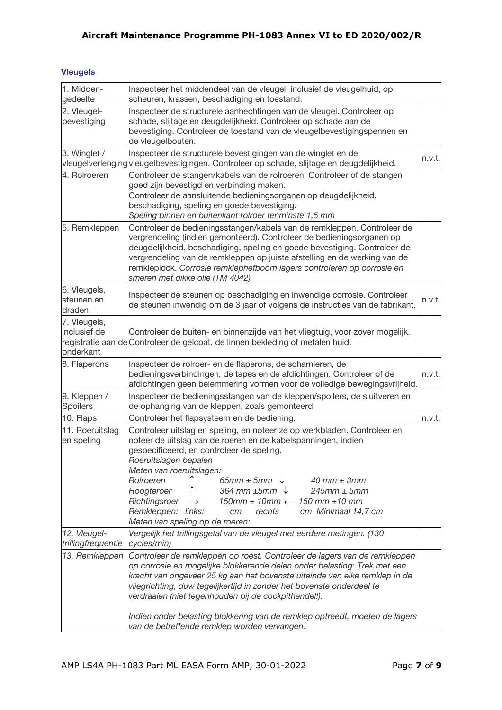## **Vleugels**

| 1. Midden-<br>gedeelte                    | Inspecteer het middendeel van de vleugel, inclusief de vleugelhuid, op<br>scheuren, krassen, beschadiging en toestand.                                                                                                                                                                                                                                                                                                                                                                                                                                                          |        |
|-------------------------------------------|---------------------------------------------------------------------------------------------------------------------------------------------------------------------------------------------------------------------------------------------------------------------------------------------------------------------------------------------------------------------------------------------------------------------------------------------------------------------------------------------------------------------------------------------------------------------------------|--------|
| 2. Vleugel-<br>bevestiging                | Inspecteer de structurele aanhechtingen van de vleugel. Controleer op<br>schade, slijtage en deugdelijkheid. Controleer op schade aan de<br>bevestiging. Controleer de toestand van de vleugelbevestigingspennen en<br>de vleugelbouten.                                                                                                                                                                                                                                                                                                                                        |        |
| 3. Winglet /                              | Inspecteer de structurele bevestigingen van de winglet en de<br>vleugelverlenging vleugelbevestigingen. Controleer op schade, slijtage en deugdelijkheid.                                                                                                                                                                                                                                                                                                                                                                                                                       | n.v.t. |
| 4. Rolroeren                              | Controleer de stangen/kabels van de rolroeren. Controleer of de stangen<br>goed zijn bevestigd en verbinding maken.<br>Controleer de aansluitende bedieningsorganen op deugdelijkheid,<br>beschadiging, speling en goede bevestiging.<br>Speling binnen en buitenkant rolroer tenminste 1,5 mm                                                                                                                                                                                                                                                                                  |        |
| 5. Remkleppen                             | Controleer de bedieningsstangen/kabels van de remkleppen. Controleer de<br>vergrendeling (indien gemonteerd). Controleer de bedieningsorganen op<br>deugdelijkheid, beschadiging, speling en goede bevestiging. Controleer de<br>vergrendeling van de remkleppen op juiste afstelling en de werking van de<br>remkleplock. Corrosie remklephefboom lagers controleren op corrosie en<br>smeren met dikke olie (TM 4042)                                                                                                                                                         |        |
| 6. Vleugels,<br>steunen en<br>draden      | Inspecteer de steunen op beschadiging en inwendige corrosie. Controleer<br>de steunen inwendig om de 3 jaar of volgens de instructies van de fabrikant.                                                                                                                                                                                                                                                                                                                                                                                                                         | n.v.t. |
| 7. Vleugels,<br>inclusief de<br>onderkant | Controleer de buiten- en binnenzijde van het vliegtuig, voor zover mogelijk.<br>registratie aan de Controleer de gelcoat, de linnen bekleding of metalen huid.                                                                                                                                                                                                                                                                                                                                                                                                                  |        |
| 8. Flaperons                              | Inspecteer de rolroer- en de flaperons, de scharnieren, de<br>bedieningsverbindingen, de tapes en de afdichtingen. Controleer of de<br>afdichtingen geen belemmering vormen voor de volledige bewegingsvrijheid.                                                                                                                                                                                                                                                                                                                                                                | n.v.t. |
| 9. Kleppen /<br><b>Spoilers</b>           | Inspecteer de bedieningsstangen van de kleppen/spoilers, de sluitveren en<br>de ophanging van de kleppen, zoals gemonteerd.                                                                                                                                                                                                                                                                                                                                                                                                                                                     |        |
| 10. Flaps                                 | Controleer het flapsysteem en de bediening.                                                                                                                                                                                                                                                                                                                                                                                                                                                                                                                                     | n.v.t. |
| 11. Roeruitslag<br>en speling             | Controleer uitslag en speling, en noteer ze op werkbladen. Controleer en<br>noteer de uitslag van de roeren en de kabelspanningen, indien<br>gespecificeerd, en controleer de speling.<br>Roeruitslagen bepalen<br>Meten van roeruitslagen:<br>↑<br>65mm $\pm$ 5mm $\downarrow$<br>Rolroeren<br>$40$ mm $\pm$ 3mm<br>Hoogteroer<br>364 mm $\pm$ 5mm $\downarrow$<br>$245$ mm $\pm$ 5mm<br>Richtingsroer<br>$150$ mm $\pm$ 10mm $\leftarrow$ 150 mm $\pm$ 10 mm<br>$\rightarrow$<br>Remkleppen: links:<br>rechts<br>cm Minimaal 14,7 cm<br>cm<br>Meten van speling op de roeren: |        |
| 12. Vleugel-<br>trillingfrequentie        | Vergelijk het trillingsgetal van de vleugel met eerdere metingen. (130<br>cycles/min)                                                                                                                                                                                                                                                                                                                                                                                                                                                                                           |        |
| 13. Remkleppen                            | Controleer de remkleppen op roest. Controleer de lagers van de remkleppen<br>op corrosie en mogelijke blokkerende delen onder belasting: Trek met een<br>kracht van ongeveer 25 kg aan het bovenste uiteinde van elke remklep in de<br>vliegrichting, duw tegelijkertijd in zonder het bovenste onderdeel te<br>verdraaien (niet tegenhouden bij de cockpithendel!).                                                                                                                                                                                                            |        |
|                                           | Indien onder belasting blokkering van de remklep optreedt, moeten de lagers<br>van de betreffende remklep worden vervangen.                                                                                                                                                                                                                                                                                                                                                                                                                                                     |        |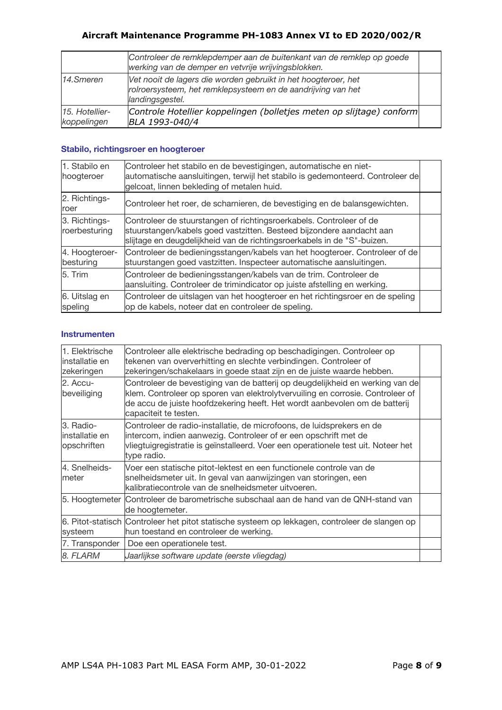|                               | Controleer de remklepdemper aan de buitenkant van de remklep op goede<br>werking van de demper en vetvrije wrijvingsblokken.                      |  |
|-------------------------------|---------------------------------------------------------------------------------------------------------------------------------------------------|--|
| 14.Smeren                     | Vet nooit de lagers die worden gebruikt in het hoogteroer, het<br>rolroersysteem, het remklepsysteem en de aandrijving van het<br>landingsgestel. |  |
| 15. Hotellier-<br>koppelingen | Controle Hotellier koppelingen (bolletjes meten op slijtage) conform<br>BLA 1993-040/4                                                            |  |

#### **Stabilo, richtingsroer en hoogteroer**

| 1. Stabilo en<br>hoogteroer    | Controleer het stabilo en de bevestigingen, automatische en niet-<br>automatische aansluitingen, terwijl het stabilo is gedemonteerd. Controleer de<br>gelcoat, linnen bekleding of metalen huid.                      |  |
|--------------------------------|------------------------------------------------------------------------------------------------------------------------------------------------------------------------------------------------------------------------|--|
| 2. Richtings-<br>roer          | Controleer het roer, de scharnieren, de bevestiging en de balansgewichten.                                                                                                                                             |  |
| 3. Richtings-<br>roerbesturing | Controleer de stuurstangen of richtingsroerkabels. Controleer of de<br>stuurstangen/kabels goed vastzitten. Besteed bijzondere aandacht aan<br>slijtage en deugdelijkheid van de richtingsroerkabels in de "S"-buizen. |  |
| 4. Hoogteroer-<br>besturing    | Controleer de bedieningsstangen/kabels van het hoogteroer. Controleer of de<br>stuurstangen goed vastzitten. Inspecteer automatische aansluitingen.                                                                    |  |
| 5. Trim                        | Controleer de bedieningsstangen/kabels van de trim. Controleer de<br>aansluiting. Controleer de trimindicator op juiste afstelling en werking.                                                                         |  |
| 6. Uitslag en<br>speling       | Controleer de uitslagen van het hoogteroer en het richtingsroer en de speling<br>op de kabels, noteer dat en controleer de speling.                                                                                    |  |

#### **Instrumenten**

| 1. Elektrische<br>linstallatie en<br>zekeringen | Controleer alle elektrische bedrading op beschadigingen. Controleer op<br>tekenen van oververhitting en slechte verbindingen. Controleer of<br>zekeringen/schakelaars in goede staat zijn en de juiste waarde hebben.                                                  |  |
|-------------------------------------------------|------------------------------------------------------------------------------------------------------------------------------------------------------------------------------------------------------------------------------------------------------------------------|--|
| 2. Accu-<br>beveiliging                         | Controleer de bevestiging van de batterij op deugdelijkheid en werking van de<br>klem. Controleer op sporen van elektrolytvervuiling en corrosie. Controleer of<br>de accu de juiste hoofdzekering heeft. Het wordt aanbevolen om de batterij<br>capaciteit te testen. |  |
| 3. Radio-<br>linstallatie en<br>opschriften     | Controleer de radio-installatie, de microfoons, de luidsprekers en de<br>intercom, indien aanwezig. Controleer of er een opschrift met de<br>vliegtuigregistratie is geïnstalleerd. Voer een operationele test uit. Noteer het<br>type radio.                          |  |
| 4. Snelheids-<br>meter                          | Voer een statische pitot-lektest en een functionele controle van de<br>snelheidsmeter uit. In geval van aanwijzingen van storingen, een<br>kalibratiecontrole van de snelheidsmeter uitvoeren.                                                                         |  |
| 5. Hoogtemeter                                  | Controleer de barometrische subschaal aan de hand van de QNH-stand van<br>de hoogtemeter.                                                                                                                                                                              |  |
| systeem                                         | 6. Pitot-statisch Controleer het pitot statische systeem op lekkagen, controleer de slangen op<br>hun toestand en controleer de werking.                                                                                                                               |  |
| 7. Transponder                                  | Doe een operationele test.                                                                                                                                                                                                                                             |  |
| 8. FLARM                                        | Jaarlijkse software update (eerste vliegdag)                                                                                                                                                                                                                           |  |
|                                                 |                                                                                                                                                                                                                                                                        |  |